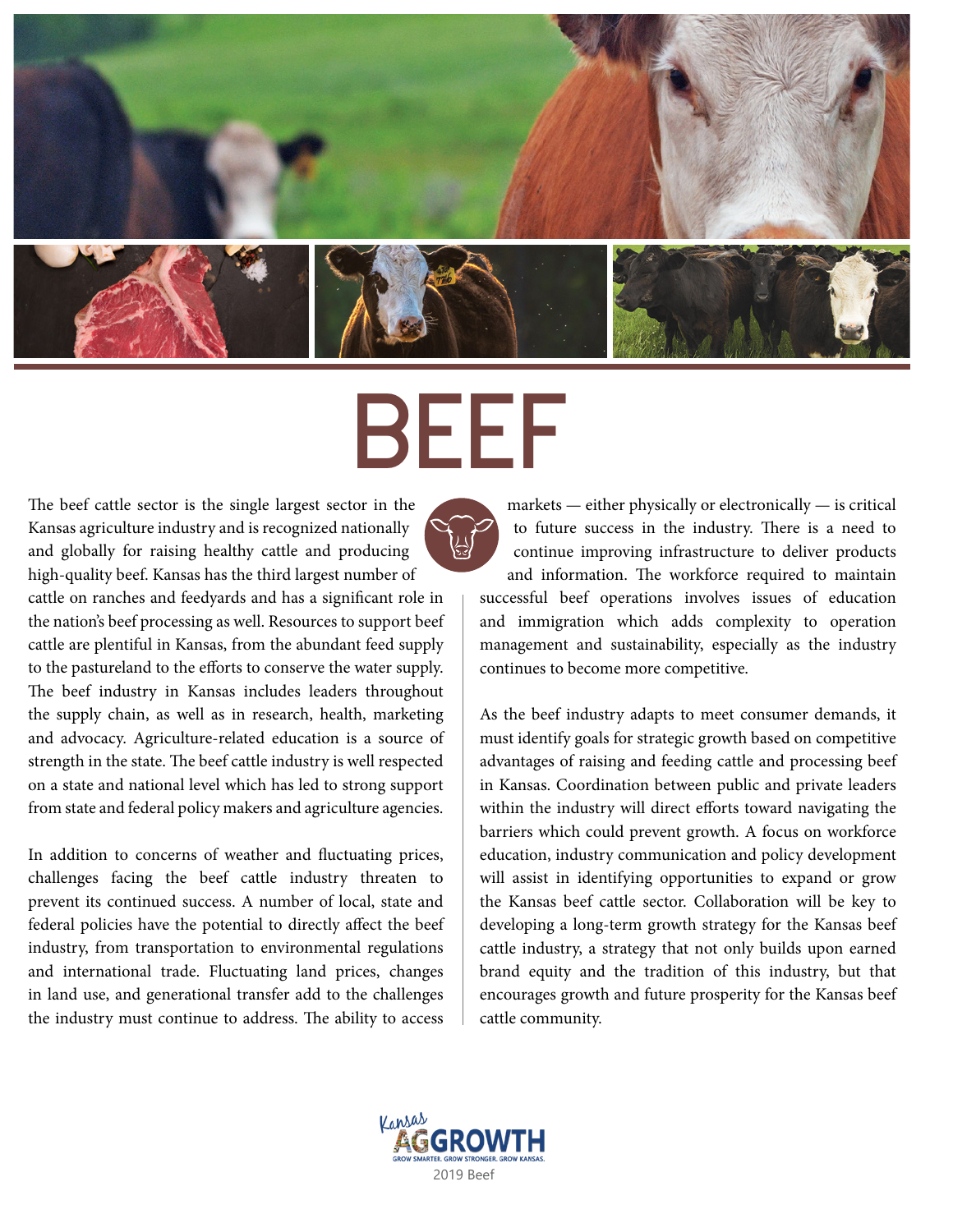

# BEEF

The beef cattle sector is the single largest sector in the Kansas agriculture industry and is recognized nationally and globally for raising healthy cattle and producing high-quality beef. Kansas has the third largest number of cattle on ranches and feedyards and has a significant role in

the nation's beef processing as well. Resources to support beef cattle are plentiful in Kansas, from the abundant feed supply to the pastureland to the efforts to conserve the water supply. The beef industry in Kansas includes leaders throughout the supply chain, as well as in research, health, marketing and advocacy. Agriculture-related education is a source of strength in the state. The beef cattle industry is well respected on a state and national level which has led to strong support from state and federal policy makers and agriculture agencies.

In addition to concerns of weather and fluctuating prices, challenges facing the beef cattle industry threaten to prevent its continued success. A number of local, state and federal policies have the potential to directly affect the beef industry, from transportation to environmental regulations and international trade. Fluctuating land prices, changes in land use, and generational transfer add to the challenges the industry must continue to address. The ability to access

markets — either physically or electronically — is critical to future success in the industry. There is a need to continue improving infrastructure to deliver products and information. The workforce required to maintain successful beef operations involves issues of education and immigration which adds complexity to operation management and sustainability, especially as the industry continues to become more competitive.

As the beef industry adapts to meet consumer demands, it must identify goals for strategic growth based on competitive advantages of raising and feeding cattle and processing beef in Kansas. Coordination between public and private leaders within the industry will direct efforts toward navigating the barriers which could prevent growth. A focus on workforce education, industry communication and policy development will assist in identifying opportunities to expand or grow the Kansas beef cattle sector. Collaboration will be key to developing a long-term growth strategy for the Kansas beef cattle industry, a strategy that not only builds upon earned brand equity and the tradition of this industry, but that encourages growth and future prosperity for the Kansas beef cattle community.

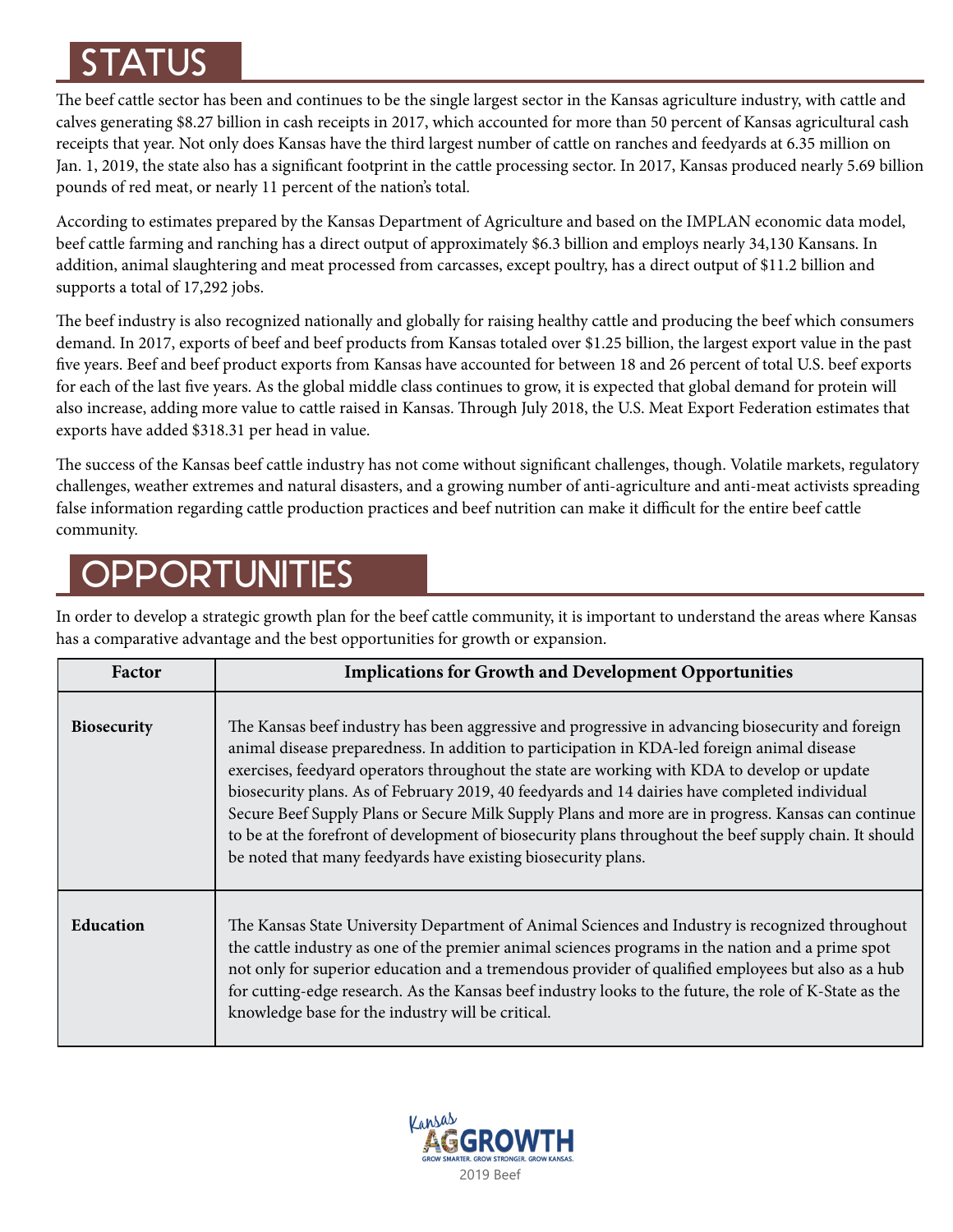## STATUS

The beef cattle sector has been and continues to be the single largest sector in the Kansas agriculture industry, with cattle and calves generating \$8.27 billion in cash receipts in 2017, which accounted for more than 50 percent of Kansas agricultural cash receipts that year. Not only does Kansas have the third largest number of cattle on ranches and feedyards at 6.35 million on Jan. 1, 2019, the state also has a significant footprint in the cattle processing sector. In 2017, Kansas produced nearly 5.69 billion pounds of red meat, or nearly 11 percent of the nation's total.

According to estimates prepared by the Kansas Department of Agriculture and based on the IMPLAN economic data model, beef cattle farming and ranching has a direct output of approximately \$6.3 billion and employs nearly 34,130 Kansans. In addition, animal slaughtering and meat processed from carcasses, except poultry, has a direct output of \$11.2 billion and supports a total of 17,292 jobs.

The beef industry is also recognized nationally and globally for raising healthy cattle and producing the beef which consumers demand. In 2017, exports of beef and beef products from Kansas totaled over \$1.25 billion, the largest export value in the past five years. Beef and beef product exports from Kansas have accounted for between 18 and 26 percent of total U.S. beef exports for each of the last five years. As the global middle class continues to grow, it is expected that global demand for protein will also increase, adding more value to cattle raised in Kansas. Through July 2018, the U.S. Meat Export Federation estimates that exports have added \$318.31 per head in value.

The success of the Kansas beef cattle industry has not come without significant challenges, though. Volatile markets, regulatory challenges, weather extremes and natural disasters, and a growing number of anti-agriculture and anti-meat activists spreading false information regarding cattle production practices and beef nutrition can make it difficult for the entire beef cattle community.

## **OPPORTUNITIES**

In order to develop a strategic growth plan for the beef cattle community, it is important to understand the areas where Kansas has a comparative advantage and the best opportunities for growth or expansion.

| Factor             | <b>Implications for Growth and Development Opportunities</b>                                                                                                                                                                                                                                                                                                                                                                                                                                                                                                                                                                                                                       |
|--------------------|------------------------------------------------------------------------------------------------------------------------------------------------------------------------------------------------------------------------------------------------------------------------------------------------------------------------------------------------------------------------------------------------------------------------------------------------------------------------------------------------------------------------------------------------------------------------------------------------------------------------------------------------------------------------------------|
| <b>Biosecurity</b> | The Kansas beef industry has been aggressive and progressive in advancing biosecurity and foreign<br>animal disease preparedness. In addition to participation in KDA-led foreign animal disease<br>exercises, feedyard operators throughout the state are working with KDA to develop or update<br>biosecurity plans. As of February 2019, 40 feedyards and 14 dairies have completed individual<br>Secure Beef Supply Plans or Secure Milk Supply Plans and more are in progress. Kansas can continue<br>to be at the forefront of development of biosecurity plans throughout the beef supply chain. It should<br>be noted that many feedyards have existing biosecurity plans. |
| <b>Education</b>   | The Kansas State University Department of Animal Sciences and Industry is recognized throughout<br>the cattle industry as one of the premier animal sciences programs in the nation and a prime spot<br>not only for superior education and a tremendous provider of qualified employees but also as a hub<br>for cutting-edge research. As the Kansas beef industry looks to the future, the role of K-State as the<br>knowledge base for the industry will be critical.                                                                                                                                                                                                          |

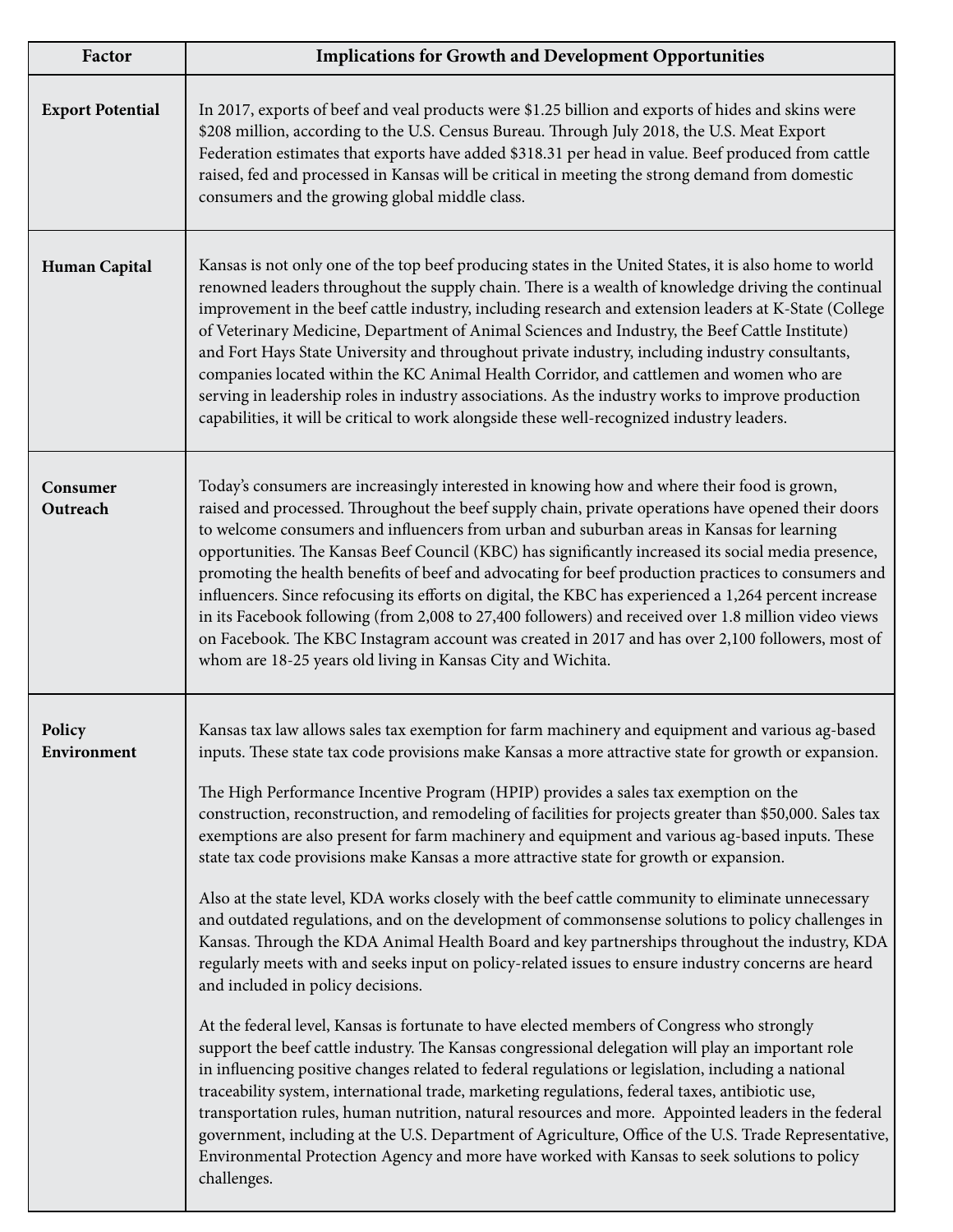| Factor                  | <b>Implications for Growth and Development Opportunities</b>                                                                                                                                                                                                                                                                                                                                                                                                                                                                                                                                                                                                                                                                                                                                                                                                                                                                                                                                                                                                                                                                                                                                                                                                                                                                                                                                                                                                                                                                                                                                                                                                                                                                                                                                                |
|-------------------------|-------------------------------------------------------------------------------------------------------------------------------------------------------------------------------------------------------------------------------------------------------------------------------------------------------------------------------------------------------------------------------------------------------------------------------------------------------------------------------------------------------------------------------------------------------------------------------------------------------------------------------------------------------------------------------------------------------------------------------------------------------------------------------------------------------------------------------------------------------------------------------------------------------------------------------------------------------------------------------------------------------------------------------------------------------------------------------------------------------------------------------------------------------------------------------------------------------------------------------------------------------------------------------------------------------------------------------------------------------------------------------------------------------------------------------------------------------------------------------------------------------------------------------------------------------------------------------------------------------------------------------------------------------------------------------------------------------------------------------------------------------------------------------------------------------------|
| <b>Export Potential</b> | In 2017, exports of beef and veal products were \$1.25 billion and exports of hides and skins were<br>\$208 million, according to the U.S. Census Bureau. Through July 2018, the U.S. Meat Export<br>Federation estimates that exports have added \$318.31 per head in value. Beef produced from cattle<br>raised, fed and processed in Kansas will be critical in meeting the strong demand from domestic<br>consumers and the growing global middle class.                                                                                                                                                                                                                                                                                                                                                                                                                                                                                                                                                                                                                                                                                                                                                                                                                                                                                                                                                                                                                                                                                                                                                                                                                                                                                                                                                |
| Human Capital           | Kansas is not only one of the top beef producing states in the United States, it is also home to world<br>renowned leaders throughout the supply chain. There is a wealth of knowledge driving the continual<br>improvement in the beef cattle industry, including research and extension leaders at K-State (College<br>of Veterinary Medicine, Department of Animal Sciences and Industry, the Beef Cattle Institute)<br>and Fort Hays State University and throughout private industry, including industry consultants,<br>companies located within the KC Animal Health Corridor, and cattlemen and women who are<br>serving in leadership roles in industry associations. As the industry works to improve production<br>capabilities, it will be critical to work alongside these well-recognized industry leaders.                                                                                                                                                                                                                                                                                                                                                                                                                                                                                                                                                                                                                                                                                                                                                                                                                                                                                                                                                                                   |
| Consumer<br>Outreach    | Today's consumers are increasingly interested in knowing how and where their food is grown,<br>raised and processed. Throughout the beef supply chain, private operations have opened their doors<br>to welcome consumers and influencers from urban and suburban areas in Kansas for learning<br>opportunities. The Kansas Beef Council (KBC) has significantly increased its social media presence,<br>promoting the health benefits of beef and advocating for beef production practices to consumers and<br>influencers. Since refocusing its efforts on digital, the KBC has experienced a 1,264 percent increase<br>in its Facebook following (from 2,008 to 27,400 followers) and received over 1.8 million video views<br>on Facebook. The KBC Instagram account was created in 2017 and has over 2,100 followers, most of<br>whom are 18-25 years old living in Kansas City and Wichita.                                                                                                                                                                                                                                                                                                                                                                                                                                                                                                                                                                                                                                                                                                                                                                                                                                                                                                           |
| Policy<br>Environment   | Kansas tax law allows sales tax exemption for farm machinery and equipment and various ag-based<br>inputs. These state tax code provisions make Kansas a more attractive state for growth or expansion.<br>The High Performance Incentive Program (HPIP) provides a sales tax exemption on the<br>construction, reconstruction, and remodeling of facilities for projects greater than \$50,000. Sales tax<br>exemptions are also present for farm machinery and equipment and various ag-based inputs. These<br>state tax code provisions make Kansas a more attractive state for growth or expansion.<br>Also at the state level, KDA works closely with the beef cattle community to eliminate unnecessary<br>and outdated regulations, and on the development of commonsense solutions to policy challenges in<br>Kansas. Through the KDA Animal Health Board and key partnerships throughout the industry, KDA<br>regularly meets with and seeks input on policy-related issues to ensure industry concerns are heard<br>and included in policy decisions.<br>At the federal level, Kansas is fortunate to have elected members of Congress who strongly<br>support the beef cattle industry. The Kansas congressional delegation will play an important role<br>in influencing positive changes related to federal regulations or legislation, including a national<br>traceability system, international trade, marketing regulations, federal taxes, antibiotic use,<br>transportation rules, human nutrition, natural resources and more. Appointed leaders in the federal<br>government, including at the U.S. Department of Agriculture, Office of the U.S. Trade Representative,<br>Environmental Protection Agency and more have worked with Kansas to seek solutions to policy<br>challenges. |

L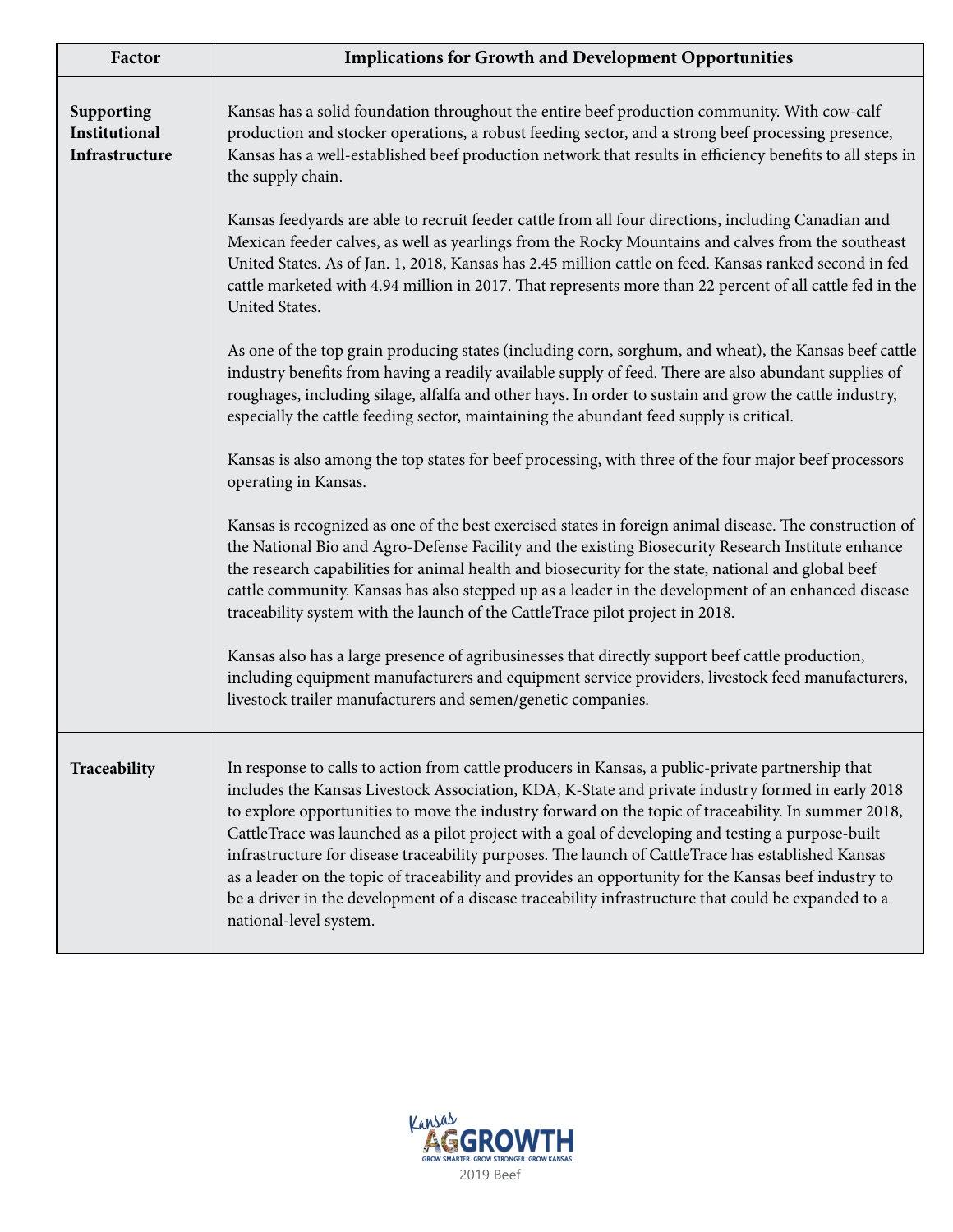| Factor                                        | <b>Implications for Growth and Development Opportunities</b>                                                                                                                                                                                                                                                                                                                                                                                                                                                                                                                                                                                                                                                                                                      |
|-----------------------------------------------|-------------------------------------------------------------------------------------------------------------------------------------------------------------------------------------------------------------------------------------------------------------------------------------------------------------------------------------------------------------------------------------------------------------------------------------------------------------------------------------------------------------------------------------------------------------------------------------------------------------------------------------------------------------------------------------------------------------------------------------------------------------------|
| Supporting<br>Institutional<br>Infrastructure | Kansas has a solid foundation throughout the entire beef production community. With cow-calf<br>production and stocker operations, a robust feeding sector, and a strong beef processing presence,<br>Kansas has a well-established beef production network that results in efficiency benefits to all steps in<br>the supply chain.                                                                                                                                                                                                                                                                                                                                                                                                                              |
|                                               | Kansas feedyards are able to recruit feeder cattle from all four directions, including Canadian and<br>Mexican feeder calves, as well as yearlings from the Rocky Mountains and calves from the southeast<br>United States. As of Jan. 1, 2018, Kansas has 2.45 million cattle on feed. Kansas ranked second in fed<br>cattle marketed with 4.94 million in 2017. That represents more than 22 percent of all cattle fed in the<br>United States.                                                                                                                                                                                                                                                                                                                 |
|                                               | As one of the top grain producing states (including corn, sorghum, and wheat), the Kansas beef cattle<br>industry benefits from having a readily available supply of feed. There are also abundant supplies of<br>roughages, including silage, alfalfa and other hays. In order to sustain and grow the cattle industry,<br>especially the cattle feeding sector, maintaining the abundant feed supply is critical.                                                                                                                                                                                                                                                                                                                                               |
|                                               | Kansas is also among the top states for beef processing, with three of the four major beef processors<br>operating in Kansas.                                                                                                                                                                                                                                                                                                                                                                                                                                                                                                                                                                                                                                     |
|                                               | Kansas is recognized as one of the best exercised states in foreign animal disease. The construction of<br>the National Bio and Agro-Defense Facility and the existing Biosecurity Research Institute enhance<br>the research capabilities for animal health and biosecurity for the state, national and global beef<br>cattle community. Kansas has also stepped up as a leader in the development of an enhanced disease<br>traceability system with the launch of the CattleTrace pilot project in 2018.                                                                                                                                                                                                                                                       |
|                                               | Kansas also has a large presence of agribusinesses that directly support beef cattle production,<br>including equipment manufacturers and equipment service providers, livestock feed manufacturers,<br>livestock trailer manufacturers and semen/genetic companies.                                                                                                                                                                                                                                                                                                                                                                                                                                                                                              |
| Traceability                                  | In response to calls to action from cattle producers in Kansas, a public-private partnership that<br>includes the Kansas Livestock Association, KDA, K-State and private industry formed in early 2018<br>to explore opportunities to move the industry forward on the topic of traceability. In summer 2018,<br>CattleTrace was launched as a pilot project with a goal of developing and testing a purpose-built<br>infrastructure for disease traceability purposes. The launch of CattleTrace has established Kansas<br>as a leader on the topic of traceability and provides an opportunity for the Kansas beef industry to<br>be a driver in the development of a disease traceability infrastructure that could be expanded to a<br>national-level system. |

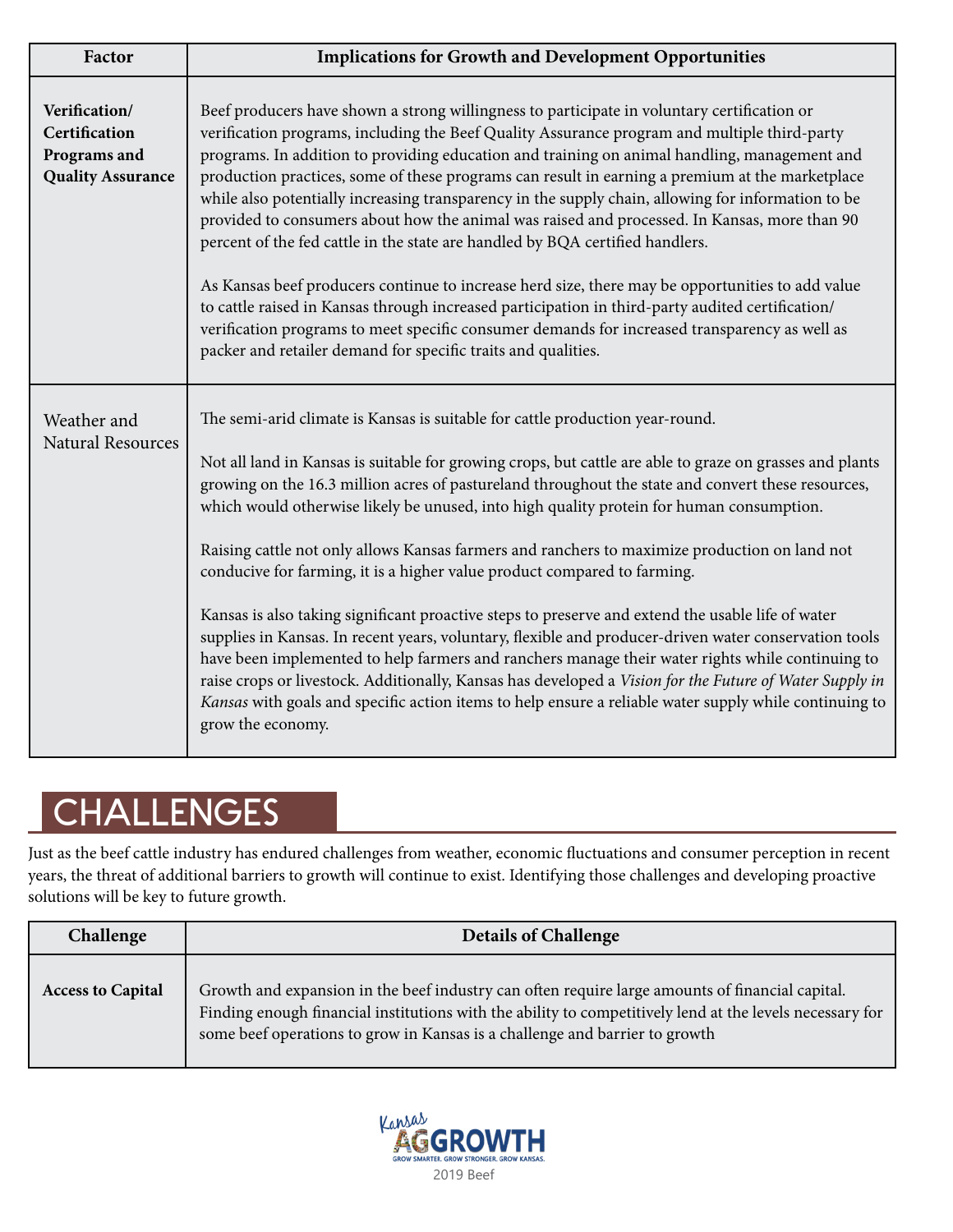| Factor                                                                     | <b>Implications for Growth and Development Opportunities</b>                                                                                                                                                                                                                                                                                                                                                                                                                                                                                                                                                                                                                                                                                                                                                                                                                                                                                                                                                                                                                                                                         |
|----------------------------------------------------------------------------|--------------------------------------------------------------------------------------------------------------------------------------------------------------------------------------------------------------------------------------------------------------------------------------------------------------------------------------------------------------------------------------------------------------------------------------------------------------------------------------------------------------------------------------------------------------------------------------------------------------------------------------------------------------------------------------------------------------------------------------------------------------------------------------------------------------------------------------------------------------------------------------------------------------------------------------------------------------------------------------------------------------------------------------------------------------------------------------------------------------------------------------|
| Verification/<br>Certification<br>Programs and<br><b>Quality Assurance</b> | Beef producers have shown a strong willingness to participate in voluntary certification or<br>verification programs, including the Beef Quality Assurance program and multiple third-party<br>programs. In addition to providing education and training on animal handling, management and<br>production practices, some of these programs can result in earning a premium at the marketplace<br>while also potentially increasing transparency in the supply chain, allowing for information to be<br>provided to consumers about how the animal was raised and processed. In Kansas, more than 90<br>percent of the fed cattle in the state are handled by BQA certified handlers.<br>As Kansas beef producers continue to increase herd size, there may be opportunities to add value<br>to cattle raised in Kansas through increased participation in third-party audited certification/<br>verification programs to meet specific consumer demands for increased transparency as well as<br>packer and retailer demand for specific traits and qualities.                                                                      |
| Weather and<br><b>Natural Resources</b>                                    | The semi-arid climate is Kansas is suitable for cattle production year-round.<br>Not all land in Kansas is suitable for growing crops, but cattle are able to graze on grasses and plants<br>growing on the 16.3 million acres of pastureland throughout the state and convert these resources,<br>which would otherwise likely be unused, into high quality protein for human consumption.<br>Raising cattle not only allows Kansas farmers and ranchers to maximize production on land not<br>conducive for farming, it is a higher value product compared to farming.<br>Kansas is also taking significant proactive steps to preserve and extend the usable life of water<br>supplies in Kansas. In recent years, voluntary, flexible and producer-driven water conservation tools<br>have been implemented to help farmers and ranchers manage their water rights while continuing to<br>raise crops or livestock. Additionally, Kansas has developed a Vision for the Future of Water Supply in<br>Kansas with goals and specific action items to help ensure a reliable water supply while continuing to<br>grow the economy. |

# **CHALLENGES**

Just as the beef cattle industry has endured challenges from weather, economic fluctuations and consumer perception in recent years, the threat of additional barriers to growth will continue to exist. Identifying those challenges and developing proactive solutions will be key to future growth.

| Challenge                | <b>Details of Challenge</b>                                                                                                                                                                                                                                                                |
|--------------------------|--------------------------------------------------------------------------------------------------------------------------------------------------------------------------------------------------------------------------------------------------------------------------------------------|
| <b>Access to Capital</b> | Growth and expansion in the beef industry can often require large amounts of financial capital.<br>Finding enough financial institutions with the ability to competitively lend at the levels necessary for<br>some beef operations to grow in Kansas is a challenge and barrier to growth |

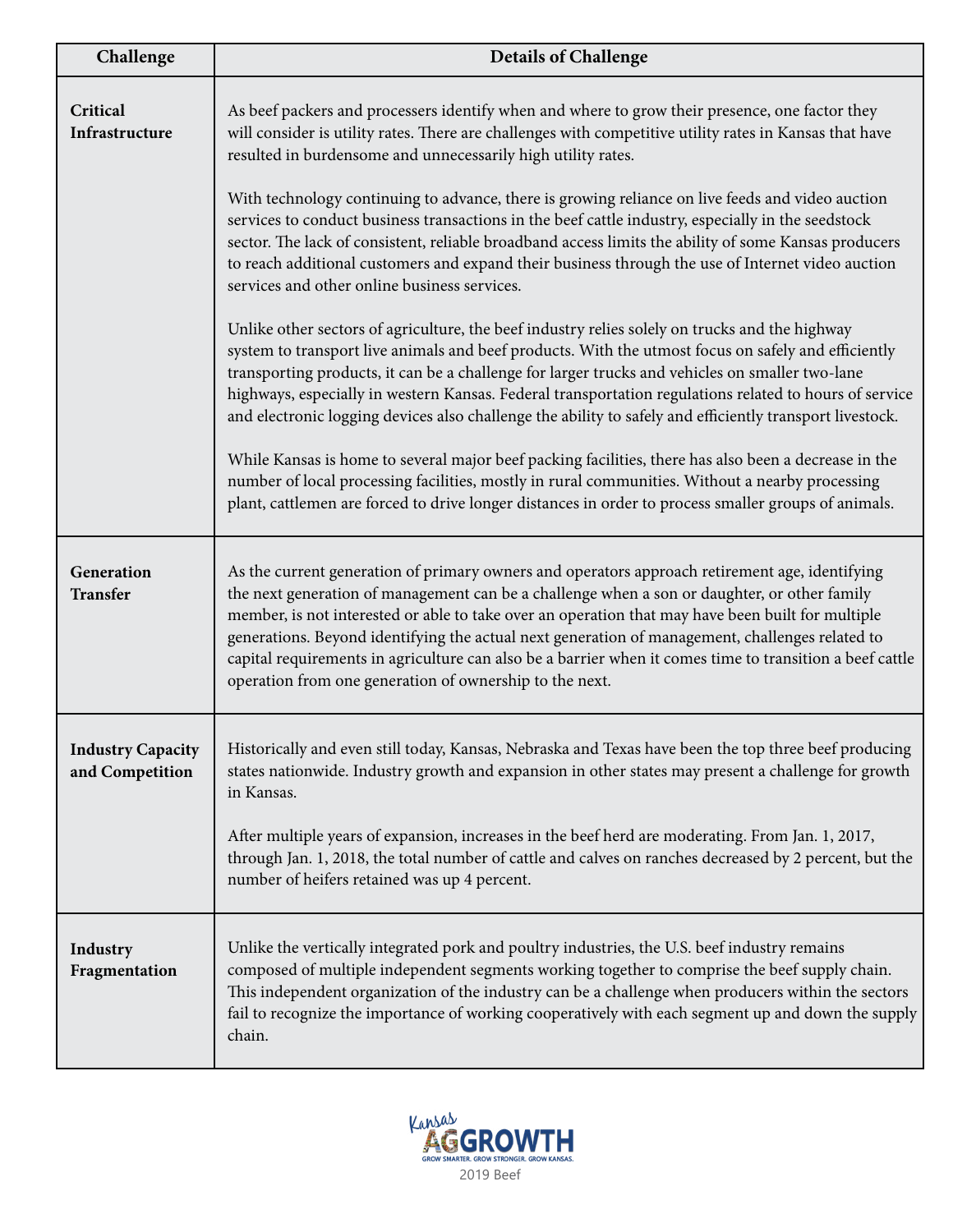| Challenge                                   | <b>Details of Challenge</b>                                                                                                                                                                                                                                                                                                                                                                                                                                                                                                                                                   |
|---------------------------------------------|-------------------------------------------------------------------------------------------------------------------------------------------------------------------------------------------------------------------------------------------------------------------------------------------------------------------------------------------------------------------------------------------------------------------------------------------------------------------------------------------------------------------------------------------------------------------------------|
| Critical<br>Infrastructure                  | As beef packers and processers identify when and where to grow their presence, one factor they<br>will consider is utility rates. There are challenges with competitive utility rates in Kansas that have<br>resulted in burdensome and unnecessarily high utility rates.                                                                                                                                                                                                                                                                                                     |
|                                             | With technology continuing to advance, there is growing reliance on live feeds and video auction<br>services to conduct business transactions in the beef cattle industry, especially in the seedstock<br>sector. The lack of consistent, reliable broadband access limits the ability of some Kansas producers<br>to reach additional customers and expand their business through the use of Internet video auction<br>services and other online business services.                                                                                                          |
|                                             | Unlike other sectors of agriculture, the beef industry relies solely on trucks and the highway<br>system to transport live animals and beef products. With the utmost focus on safely and efficiently<br>transporting products, it can be a challenge for larger trucks and vehicles on smaller two-lane<br>highways, especially in western Kansas. Federal transportation regulations related to hours of service<br>and electronic logging devices also challenge the ability to safely and efficiently transport livestock.                                                |
|                                             | While Kansas is home to several major beef packing facilities, there has also been a decrease in the<br>number of local processing facilities, mostly in rural communities. Without a nearby processing<br>plant, cattlemen are forced to drive longer distances in order to process smaller groups of animals.                                                                                                                                                                                                                                                               |
| Generation<br><b>Transfer</b>               | As the current generation of primary owners and operators approach retirement age, identifying<br>the next generation of management can be a challenge when a son or daughter, or other family<br>member, is not interested or able to take over an operation that may have been built for multiple<br>generations. Beyond identifying the actual next generation of management, challenges related to<br>capital requirements in agriculture can also be a barrier when it comes time to transition a beef cattle<br>operation from one generation of ownership to the next. |
| <b>Industry Capacity</b><br>and Competition | Historically and even still today, Kansas, Nebraska and Texas have been the top three beef producing<br>states nationwide. Industry growth and expansion in other states may present a challenge for growth<br>in Kansas.                                                                                                                                                                                                                                                                                                                                                     |
|                                             | After multiple years of expansion, increases in the beef herd are moderating. From Jan. 1, 2017,<br>through Jan. 1, 2018, the total number of cattle and calves on ranches decreased by 2 percent, but the<br>number of heifers retained was up 4 percent.                                                                                                                                                                                                                                                                                                                    |
| Industry<br>Fragmentation                   | Unlike the vertically integrated pork and poultry industries, the U.S. beef industry remains<br>composed of multiple independent segments working together to comprise the beef supply chain.<br>This independent organization of the industry can be a challenge when producers within the sectors<br>fail to recognize the importance of working cooperatively with each segment up and down the supply<br>chain.                                                                                                                                                           |

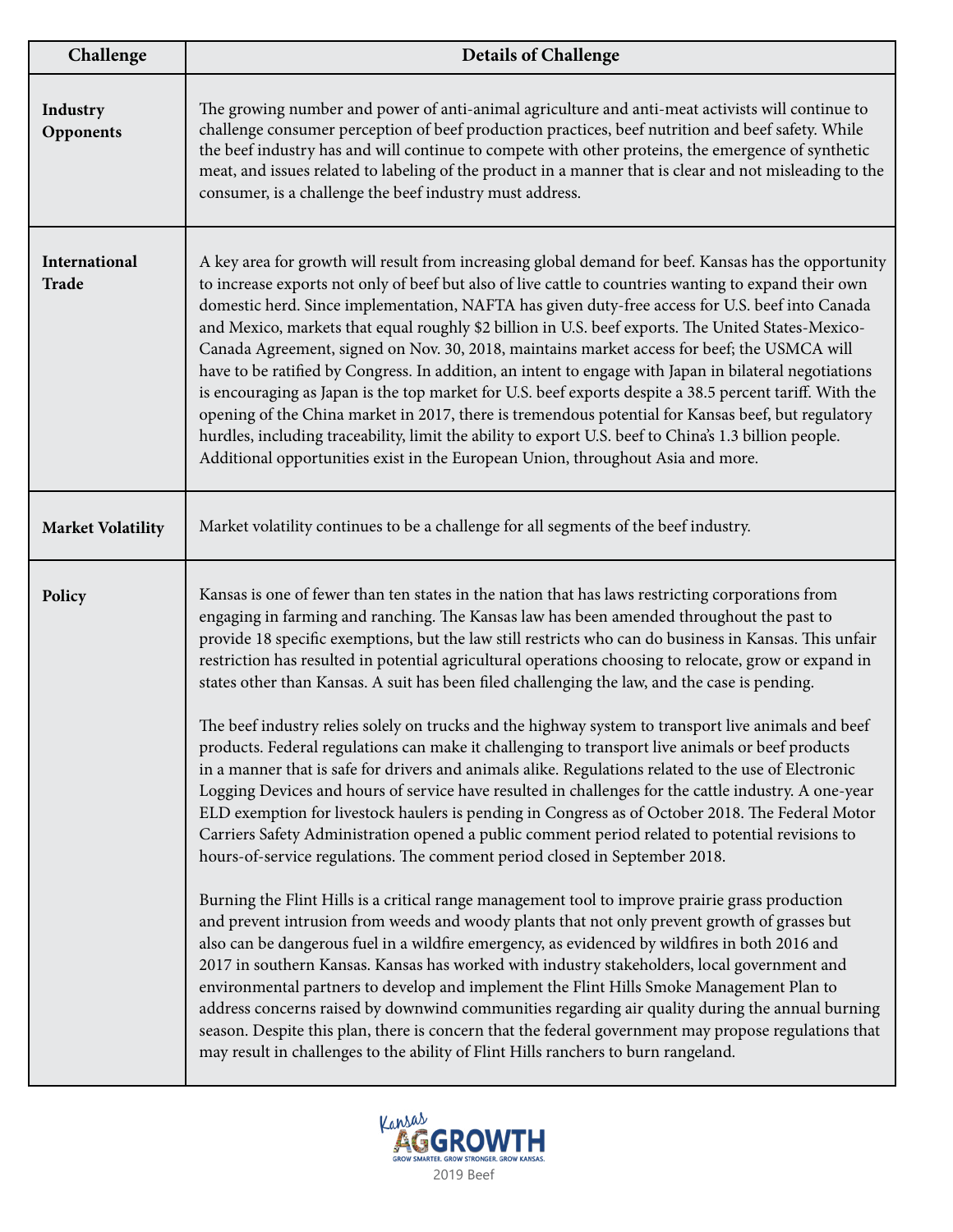| Challenge                | <b>Details of Challenge</b>                                                                                                                                                                                                                                                                                                                                                                                                                                                                                                                                                                                                                                                                                                                                                                                                                                                                                                                                                                                                                                                                                                                                                                                                                                                                                                                                                                                                                                                                                                                                                                                                                                                                                                                                                                                                                                                                                                                                                                                                        |
|--------------------------|------------------------------------------------------------------------------------------------------------------------------------------------------------------------------------------------------------------------------------------------------------------------------------------------------------------------------------------------------------------------------------------------------------------------------------------------------------------------------------------------------------------------------------------------------------------------------------------------------------------------------------------------------------------------------------------------------------------------------------------------------------------------------------------------------------------------------------------------------------------------------------------------------------------------------------------------------------------------------------------------------------------------------------------------------------------------------------------------------------------------------------------------------------------------------------------------------------------------------------------------------------------------------------------------------------------------------------------------------------------------------------------------------------------------------------------------------------------------------------------------------------------------------------------------------------------------------------------------------------------------------------------------------------------------------------------------------------------------------------------------------------------------------------------------------------------------------------------------------------------------------------------------------------------------------------------------------------------------------------------------------------------------------------|
| Industry<br>Opponents    | The growing number and power of anti-animal agriculture and anti-meat activists will continue to<br>challenge consumer perception of beef production practices, beef nutrition and beef safety. While<br>the beef industry has and will continue to compete with other proteins, the emergence of synthetic<br>meat, and issues related to labeling of the product in a manner that is clear and not misleading to the<br>consumer, is a challenge the beef industry must address.                                                                                                                                                                                                                                                                                                                                                                                                                                                                                                                                                                                                                                                                                                                                                                                                                                                                                                                                                                                                                                                                                                                                                                                                                                                                                                                                                                                                                                                                                                                                                 |
| International<br>Trade   | A key area for growth will result from increasing global demand for beef. Kansas has the opportunity<br>to increase exports not only of beef but also of live cattle to countries wanting to expand their own<br>domestic herd. Since implementation, NAFTA has given duty-free access for U.S. beef into Canada<br>and Mexico, markets that equal roughly \$2 billion in U.S. beef exports. The United States-Mexico-<br>Canada Agreement, signed on Nov. 30, 2018, maintains market access for beef; the USMCA will<br>have to be ratified by Congress. In addition, an intent to engage with Japan in bilateral negotiations<br>is encouraging as Japan is the top market for U.S. beef exports despite a 38.5 percent tariff. With the<br>opening of the China market in 2017, there is tremendous potential for Kansas beef, but regulatory<br>hurdles, including traceability, limit the ability to export U.S. beef to China's 1.3 billion people.<br>Additional opportunities exist in the European Union, throughout Asia and more.                                                                                                                                                                                                                                                                                                                                                                                                                                                                                                                                                                                                                                                                                                                                                                                                                                                                                                                                                                                       |
| <b>Market Volatility</b> | Market volatility continues to be a challenge for all segments of the beef industry.                                                                                                                                                                                                                                                                                                                                                                                                                                                                                                                                                                                                                                                                                                                                                                                                                                                                                                                                                                                                                                                                                                                                                                                                                                                                                                                                                                                                                                                                                                                                                                                                                                                                                                                                                                                                                                                                                                                                               |
| Policy                   | Kansas is one of fewer than ten states in the nation that has laws restricting corporations from<br>engaging in farming and ranching. The Kansas law has been amended throughout the past to<br>provide 18 specific exemptions, but the law still restricts who can do business in Kansas. This unfair<br>restriction has resulted in potential agricultural operations choosing to relocate, grow or expand in<br>states other than Kansas. A suit has been filed challenging the law, and the case is pending.<br>The beef industry relies solely on trucks and the highway system to transport live animals and beef<br>products. Federal regulations can make it challenging to transport live animals or beef products<br>in a manner that is safe for drivers and animals alike. Regulations related to the use of Electronic<br>Logging Devices and hours of service have resulted in challenges for the cattle industry. A one-year<br>ELD exemption for livestock haulers is pending in Congress as of October 2018. The Federal Motor<br>Carriers Safety Administration opened a public comment period related to potential revisions to<br>hours-of-service regulations. The comment period closed in September 2018.<br>Burning the Flint Hills is a critical range management tool to improve prairie grass production<br>and prevent intrusion from weeds and woody plants that not only prevent growth of grasses but<br>also can be dangerous fuel in a wildfire emergency, as evidenced by wildfires in both 2016 and<br>2017 in southern Kansas. Kansas has worked with industry stakeholders, local government and<br>environmental partners to develop and implement the Flint Hills Smoke Management Plan to<br>address concerns raised by downwind communities regarding air quality during the annual burning<br>season. Despite this plan, there is concern that the federal government may propose regulations that<br>may result in challenges to the ability of Flint Hills ranchers to burn rangeland. |

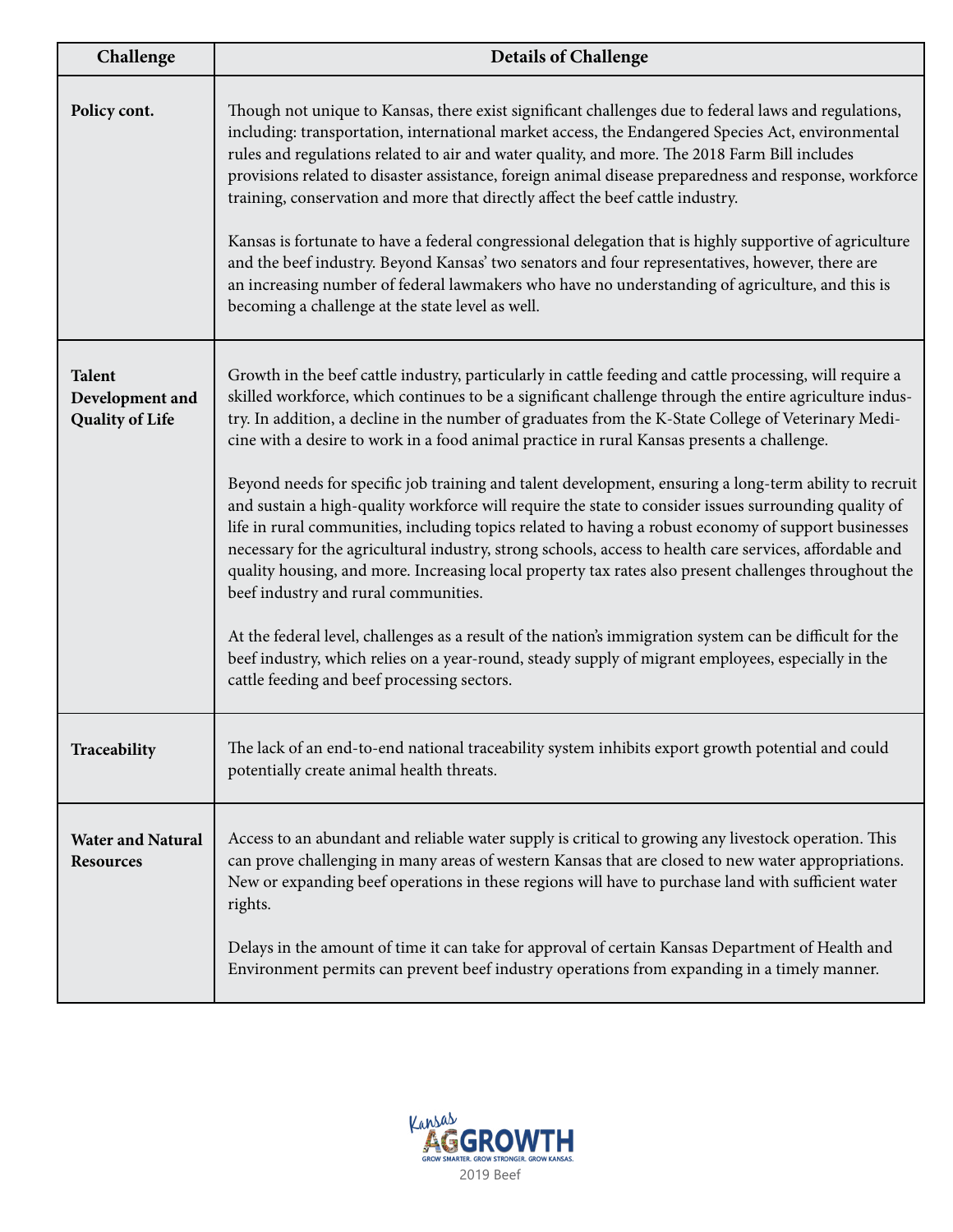| Challenge                                                  | <b>Details of Challenge</b>                                                                                                                                                                                                                                                                                                                                                                                                                                                                                                                                                                                                                                                                                                                                                                                                                                                                                                                                                                                                                                                                                                                                                                                                                                                     |
|------------------------------------------------------------|---------------------------------------------------------------------------------------------------------------------------------------------------------------------------------------------------------------------------------------------------------------------------------------------------------------------------------------------------------------------------------------------------------------------------------------------------------------------------------------------------------------------------------------------------------------------------------------------------------------------------------------------------------------------------------------------------------------------------------------------------------------------------------------------------------------------------------------------------------------------------------------------------------------------------------------------------------------------------------------------------------------------------------------------------------------------------------------------------------------------------------------------------------------------------------------------------------------------------------------------------------------------------------|
| Policy cont.                                               | Though not unique to Kansas, there exist significant challenges due to federal laws and regulations,<br>including: transportation, international market access, the Endangered Species Act, environmental<br>rules and regulations related to air and water quality, and more. The 2018 Farm Bill includes<br>provisions related to disaster assistance, foreign animal disease preparedness and response, workforce<br>training, conservation and more that directly affect the beef cattle industry.<br>Kansas is fortunate to have a federal congressional delegation that is highly supportive of agriculture<br>and the beef industry. Beyond Kansas' two senators and four representatives, however, there are<br>an increasing number of federal lawmakers who have no understanding of agriculture, and this is<br>becoming a challenge at the state level as well.                                                                                                                                                                                                                                                                                                                                                                                                     |
| <b>Talent</b><br>Development and<br><b>Quality of Life</b> | Growth in the beef cattle industry, particularly in cattle feeding and cattle processing, will require a<br>skilled workforce, which continues to be a significant challenge through the entire agriculture indus-<br>try. In addition, a decline in the number of graduates from the K-State College of Veterinary Medi-<br>cine with a desire to work in a food animal practice in rural Kansas presents a challenge.<br>Beyond needs for specific job training and talent development, ensuring a long-term ability to recruit<br>and sustain a high-quality workforce will require the state to consider issues surrounding quality of<br>life in rural communities, including topics related to having a robust economy of support businesses<br>necessary for the agricultural industry, strong schools, access to health care services, affordable and<br>quality housing, and more. Increasing local property tax rates also present challenges throughout the<br>beef industry and rural communities.<br>At the federal level, challenges as a result of the nation's immigration system can be difficult for the<br>beef industry, which relies on a year-round, steady supply of migrant employees, especially in the<br>cattle feeding and beef processing sectors. |
| Traceability                                               | The lack of an end-to-end national traceability system inhibits export growth potential and could<br>potentially create animal health threats.                                                                                                                                                                                                                                                                                                                                                                                                                                                                                                                                                                                                                                                                                                                                                                                                                                                                                                                                                                                                                                                                                                                                  |
| <b>Water and Natural</b><br><b>Resources</b>               | Access to an abundant and reliable water supply is critical to growing any livestock operation. This<br>can prove challenging in many areas of western Kansas that are closed to new water appropriations.<br>New or expanding beef operations in these regions will have to purchase land with sufficient water<br>rights.<br>Delays in the amount of time it can take for approval of certain Kansas Department of Health and<br>Environment permits can prevent beef industry operations from expanding in a timely manner.                                                                                                                                                                                                                                                                                                                                                                                                                                                                                                                                                                                                                                                                                                                                                  |

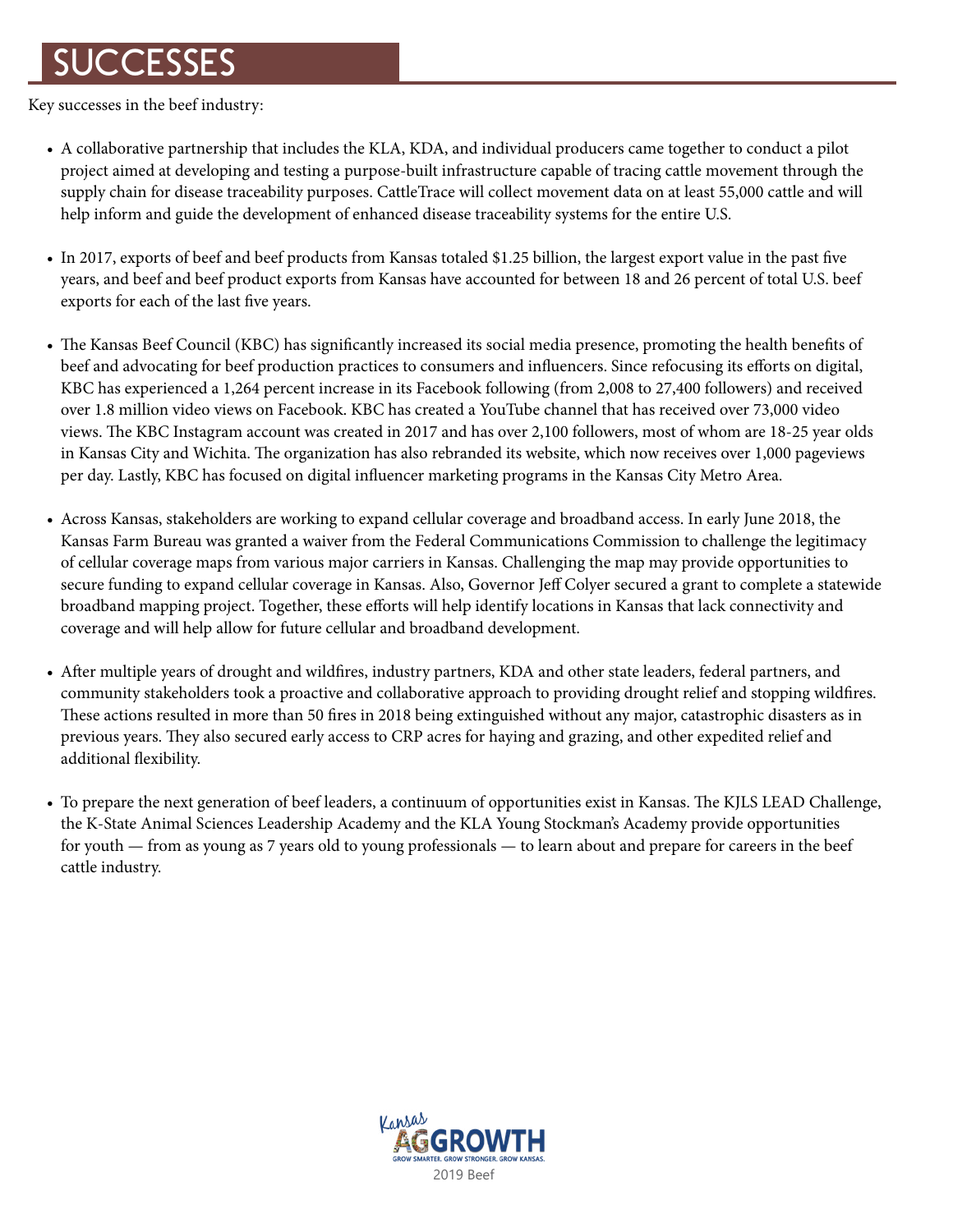## **SUCCESSES**

Key successes in the beef industry:

- A collaborative partnership that includes the KLA, KDA, and individual producers came together to conduct a pilot project aimed at developing and testing a purpose-built infrastructure capable of tracing cattle movement through the supply chain for disease traceability purposes. CattleTrace will collect movement data on at least 55,000 cattle and will help inform and guide the development of enhanced disease traceability systems for the entire U.S.
- In 2017, exports of beef and beef products from Kansas totaled \$1.25 billion, the largest export value in the past five years, and beef and beef product exports from Kansas have accounted for between 18 and 26 percent of total U.S. beef exports for each of the last five years.
- The Kansas Beef Council (KBC) has significantly increased its social media presence, promoting the health benefits of beef and advocating for beef production practices to consumers and influencers. Since refocusing its efforts on digital, KBC has experienced a 1,264 percent increase in its Facebook following (from 2,008 to 27,400 followers) and received over 1.8 million video views on Facebook. KBC has created a YouTube channel that has received over 73,000 video views. The KBC Instagram account was created in 2017 and has over 2,100 followers, most of whom are 18-25 year olds in Kansas City and Wichita. The organization has also rebranded its website, which now receives over 1,000 pageviews per day. Lastly, KBC has focused on digital influencer marketing programs in the Kansas City Metro Area.
- Across Kansas, stakeholders are working to expand cellular coverage and broadband access. In early June 2018, the Kansas Farm Bureau was granted a waiver from the Federal Communications Commission to challenge the legitimacy of cellular coverage maps from various major carriers in Kansas. Challenging the map may provide opportunities to secure funding to expand cellular coverage in Kansas. Also, Governor Jeff Colyer secured a grant to complete a statewide broadband mapping project. Together, these efforts will help identify locations in Kansas that lack connectivity and coverage and will help allow for future cellular and broadband development.
- After multiple years of drought and wildfires, industry partners, KDA and other state leaders, federal partners, and community stakeholders took a proactive and collaborative approach to providing drought relief and stopping wildfires. These actions resulted in more than 50 fires in 2018 being extinguished without any major, catastrophic disasters as in previous years. They also secured early access to CRP acres for haying and grazing, and other expedited relief and additional flexibility.
- To prepare the next generation of beef leaders, a continuum of opportunities exist in Kansas. The KJLS LEAD Challenge, the K-State Animal Sciences Leadership Academy and the KLA Young Stockman's Academy provide opportunities for youth — from as young as 7 years old to young professionals — to learn about and prepare for careers in the beef cattle industry.

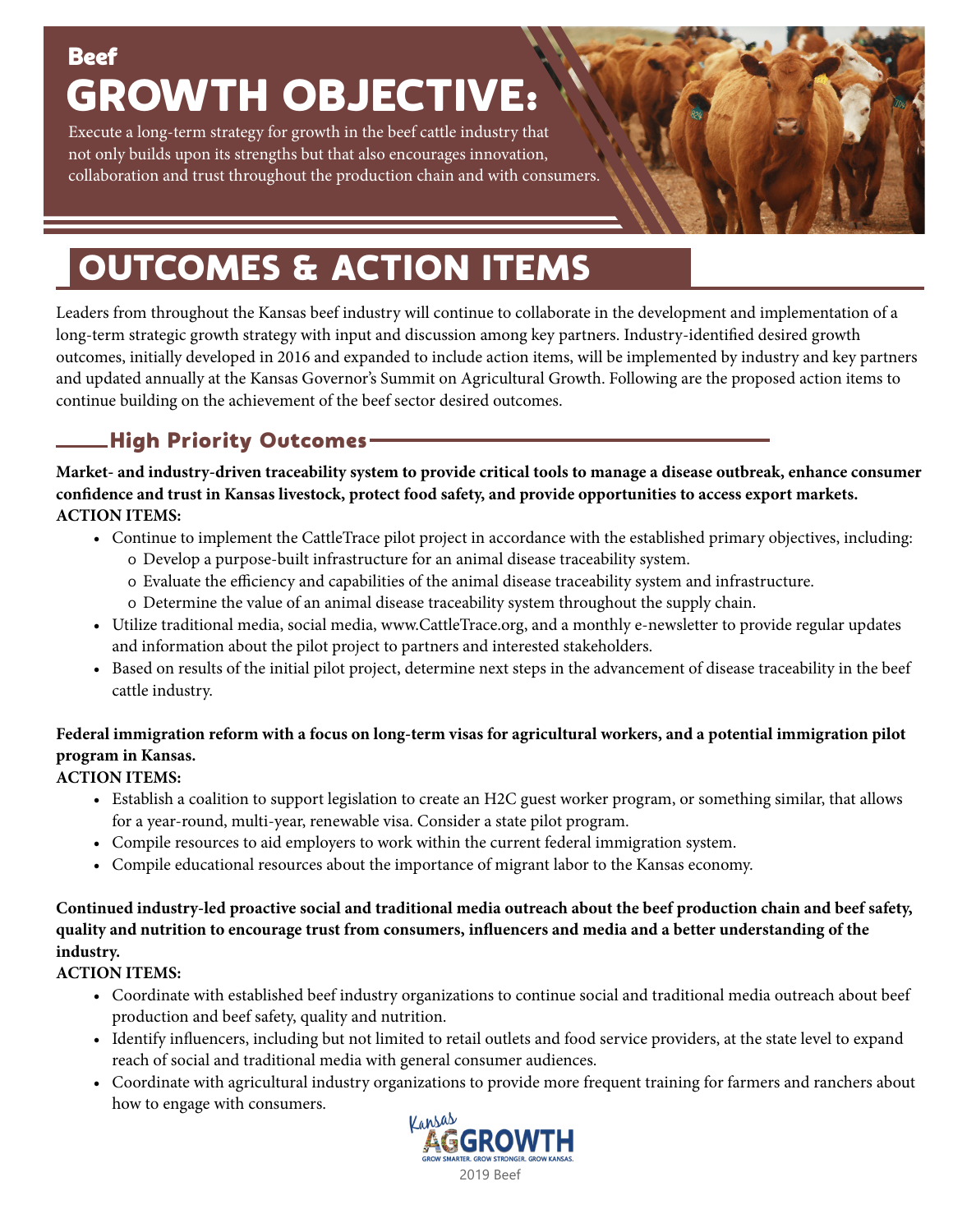## **Beef** GROWTH OBJECTIVE:

Execute a long-term strategy for growth in the beef cattle industry that not only builds upon its strengths but that also encourages innovation, collaboration and trust throughout the production chain and with consumers.

# OUTCOMES & ACTION ITEMS

Leaders from throughout the Kansas beef industry will continue to collaborate in the development and implementation of a long-term strategic growth strategy with input and discussion among key partners. Industry-identified desired growth outcomes, initially developed in 2016 and expanded to include action items, will be implemented by industry and key partners and updated annually at the Kansas Governor's Summit on Agricultural Growth. Following are the proposed action items to continue building on the achievement of the beef sector desired outcomes.

## High Priority Outcomes

**Market- and industry-driven traceability system to provide critical tools to manage a disease outbreak, enhance consumer confidence and trust in Kansas livestock, protect food safety, and provide opportunities to access export markets. ACTION ITEMS:**

- Continue to implement the CattleTrace pilot project in accordance with the established primary objectives, including:
	- Develop a purpose-built infrastructure for an animal disease traceability system.
	- Evaluate the efficiency and capabilities of the animal disease traceability system and infrastructure.
	- Determine the value of an animal disease traceability system throughout the supply chain.
- Utilize traditional media, social media, www.CattleTrace.org, and a monthly e-newsletter to provide regular updates and information about the pilot project to partners and interested stakeholders.
- Based on results of the initial pilot project, determine next steps in the advancement of disease traceability in the beef cattle industry.

#### **Federal immigration reform with a focus on long-term visas for agricultural workers, and a potential immigration pilot program in Kansas.**

#### **ACTION ITEMS:**

- Establish a coalition to support legislation to create an H2C guest worker program, or something similar, that allows for a year-round, multi-year, renewable visa. Consider a state pilot program.
- Compile resources to aid employers to work within the current federal immigration system.
- Compile educational resources about the importance of migrant labor to the Kansas economy.

#### **Continued industry-led proactive social and traditional media outreach about the beef production chain and beef safety, quality and nutrition to encourage trust from consumers, influencers and media and a better understanding of the industry.**

#### **ACTION ITEMS:**

- Coordinate with established beef industry organizations to continue social and traditional media outreach about beef production and beef safety, quality and nutrition.
- Identify influencers, including but not limited to retail outlets and food service providers, at the state level to expand reach of social and traditional media with general consumer audiences.
- Coordinate with agricultural industry organizations to provide more frequent training for farmers and ranchers about how to engage with consumers.

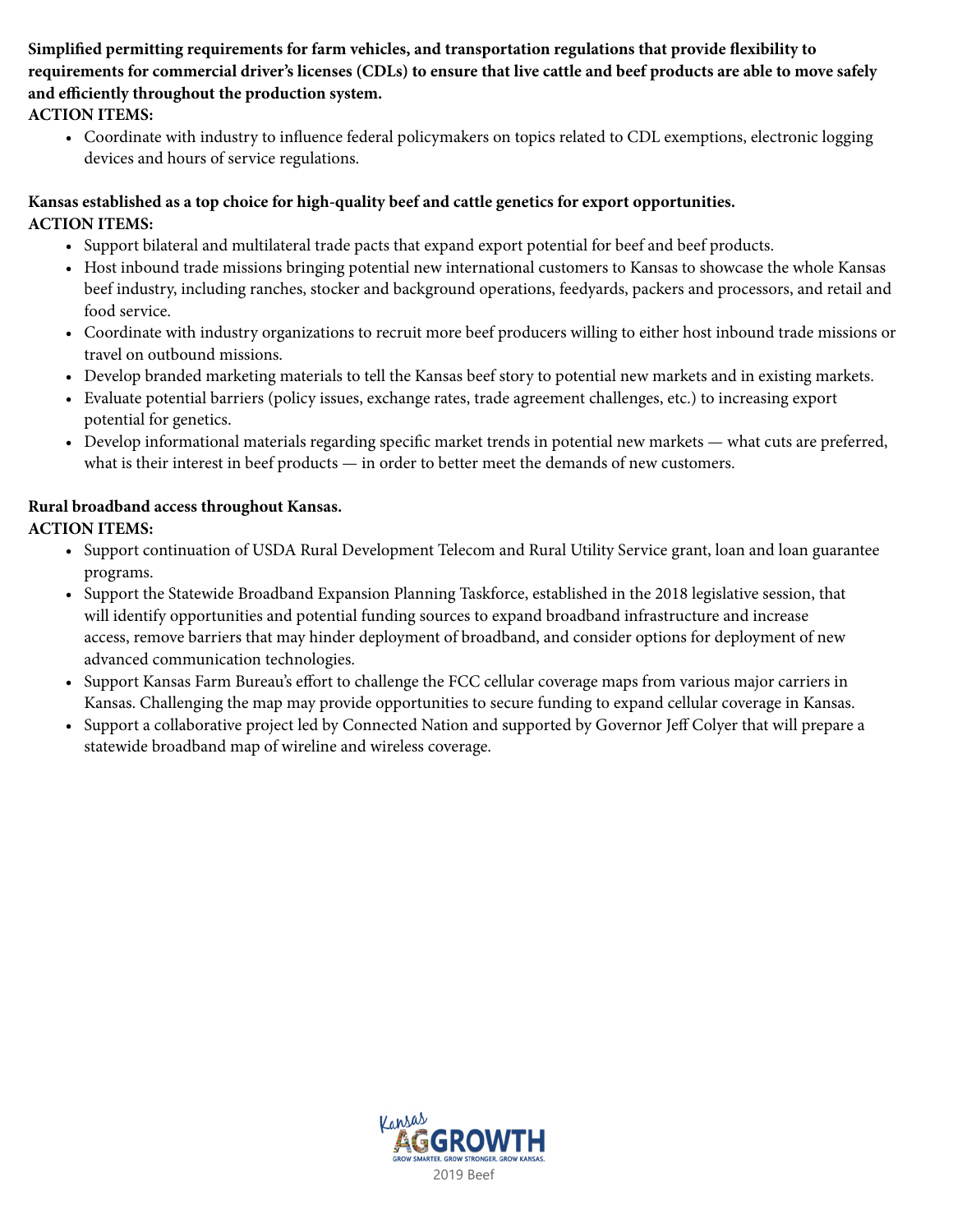**Simplified permitting requirements for farm vehicles, and transportation regulations that provide flexibility to requirements for commercial driver's licenses (CDLs) to ensure that live cattle and beef products are able to move safely and efficiently throughout the production system.**

#### **ACTION ITEMS:**

• Coordinate with industry to influence federal policymakers on topics related to CDL exemptions, electronic logging devices and hours of service regulations.

#### **Kansas established as a top choice for high-quality beef and cattle genetics for export opportunities. ACTION ITEMS:**

- Support bilateral and multilateral trade pacts that expand export potential for beef and beef products.
- Host inbound trade missions bringing potential new international customers to Kansas to showcase the whole Kansas beef industry, including ranches, stocker and background operations, feedyards, packers and processors, and retail and food service.
- Coordinate with industry organizations to recruit more beef producers willing to either host inbound trade missions or travel on outbound missions.
- Develop branded marketing materials to tell the Kansas beef story to potential new markets and in existing markets.
- Evaluate potential barriers (policy issues, exchange rates, trade agreement challenges, etc.) to increasing export potential for genetics.
- Develop informational materials regarding specific market trends in potential new markets what cuts are preferred, what is their interest in beef products — in order to better meet the demands of new customers.

#### **Rural broadband access throughout Kansas.**

#### **ACTION ITEMS:**

- Support continuation of USDA Rural Development Telecom and Rural Utility Service grant, loan and loan guarantee programs.
- Support the Statewide Broadband Expansion Planning Taskforce, established in the 2018 legislative session, that will identify opportunities and potential funding sources to expand broadband infrastructure and increase access, remove barriers that may hinder deployment of broadband, and consider options for deployment of new advanced communication technologies.
- Support Kansas Farm Bureau's effort to challenge the FCC cellular coverage maps from various major carriers in Kansas. Challenging the map may provide opportunities to secure funding to expand cellular coverage in Kansas.
- Support a collaborative project led by Connected Nation and supported by Governor Jeff Colyer that will prepare a statewide broadband map of wireline and wireless coverage.

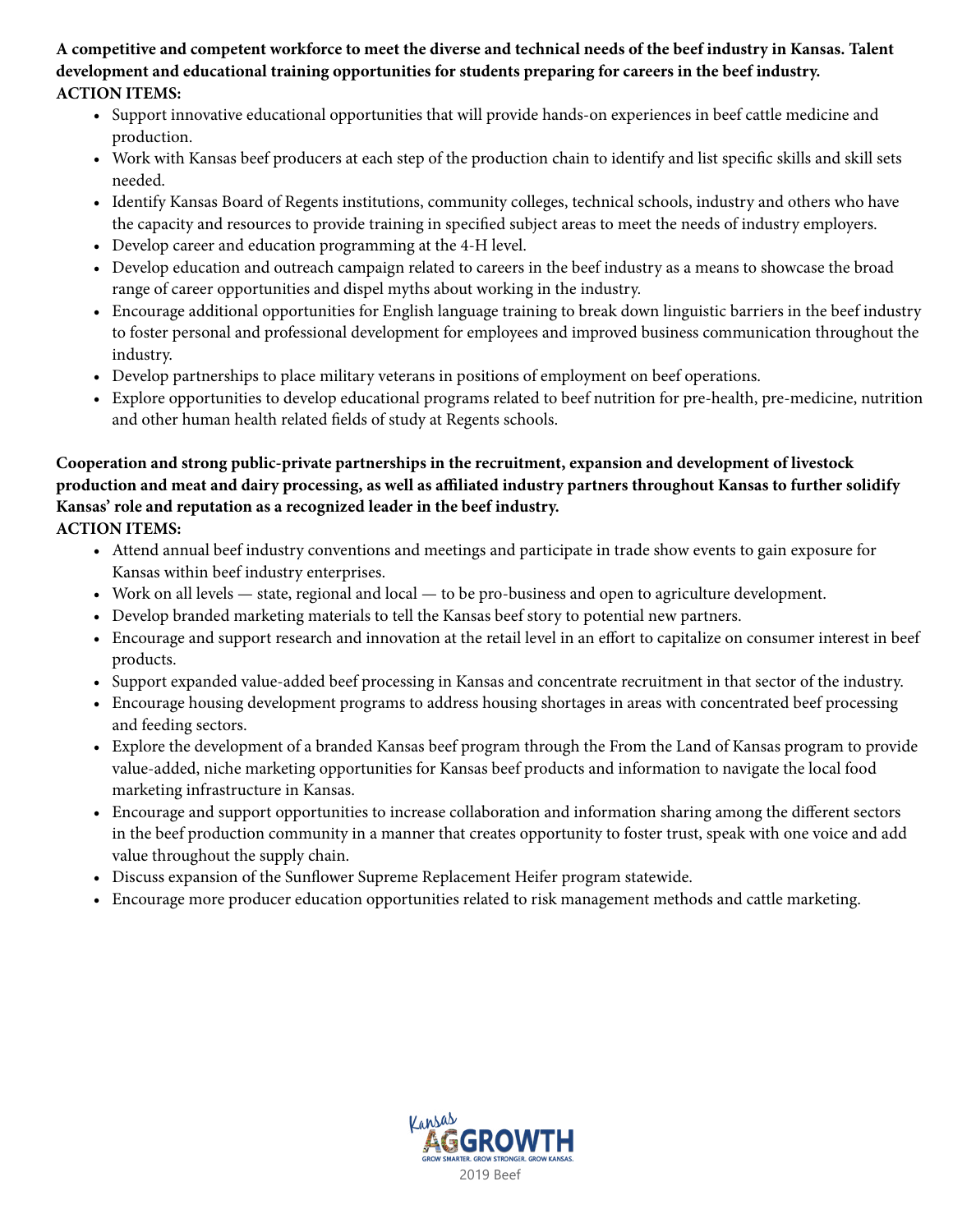**A competitive and competent workforce to meet the diverse and technical needs of the beef industry in Kansas. Talent development and educational training opportunities for students preparing for careers in the beef industry. ACTION ITEMS:**

- Support innovative educational opportunities that will provide hands-on experiences in beef cattle medicine and production.
- Work with Kansas beef producers at each step of the production chain to identify and list specific skills and skill sets needed.
- Identify Kansas Board of Regents institutions, community colleges, technical schools, industry and others who have the capacity and resources to provide training in specified subject areas to meet the needs of industry employers.
- Develop career and education programming at the 4-H level.
- Develop education and outreach campaign related to careers in the beef industry as a means to showcase the broad range of career opportunities and dispel myths about working in the industry.
- Encourage additional opportunities for English language training to break down linguistic barriers in the beef industry to foster personal and professional development for employees and improved business communication throughout the industry.
- Develop partnerships to place military veterans in positions of employment on beef operations.
- Explore opportunities to develop educational programs related to beef nutrition for pre-health, pre-medicine, nutrition and other human health related fields of study at Regents schools.

#### **Cooperation and strong public-private partnerships in the recruitment, expansion and development of livestock production and meat and dairy processing, as well as affiliated industry partners throughout Kansas to further solidify Kansas' role and reputation as a recognized leader in the beef industry.**

**ACTION ITEMS:**

- Attend annual beef industry conventions and meetings and participate in trade show events to gain exposure for Kansas within beef industry enterprises.
- Work on all levels state, regional and local to be pro-business and open to agriculture development.
- Develop branded marketing materials to tell the Kansas beef story to potential new partners.
- Encourage and support research and innovation at the retail level in an effort to capitalize on consumer interest in beef products.
- Support expanded value-added beef processing in Kansas and concentrate recruitment in that sector of the industry.
- Encourage housing development programs to address housing shortages in areas with concentrated beef processing and feeding sectors.
- Explore the development of a branded Kansas beef program through the From the Land of Kansas program to provide value-added, niche marketing opportunities for Kansas beef products and information to navigate the local food marketing infrastructure in Kansas.
- Encourage and support opportunities to increase collaboration and information sharing among the different sectors in the beef production community in a manner that creates opportunity to foster trust, speak with one voice and add value throughout the supply chain.
- Discuss expansion of the Sunflower Supreme Replacement Heifer program statewide.
- Encourage more producer education opportunities related to risk management methods and cattle marketing.

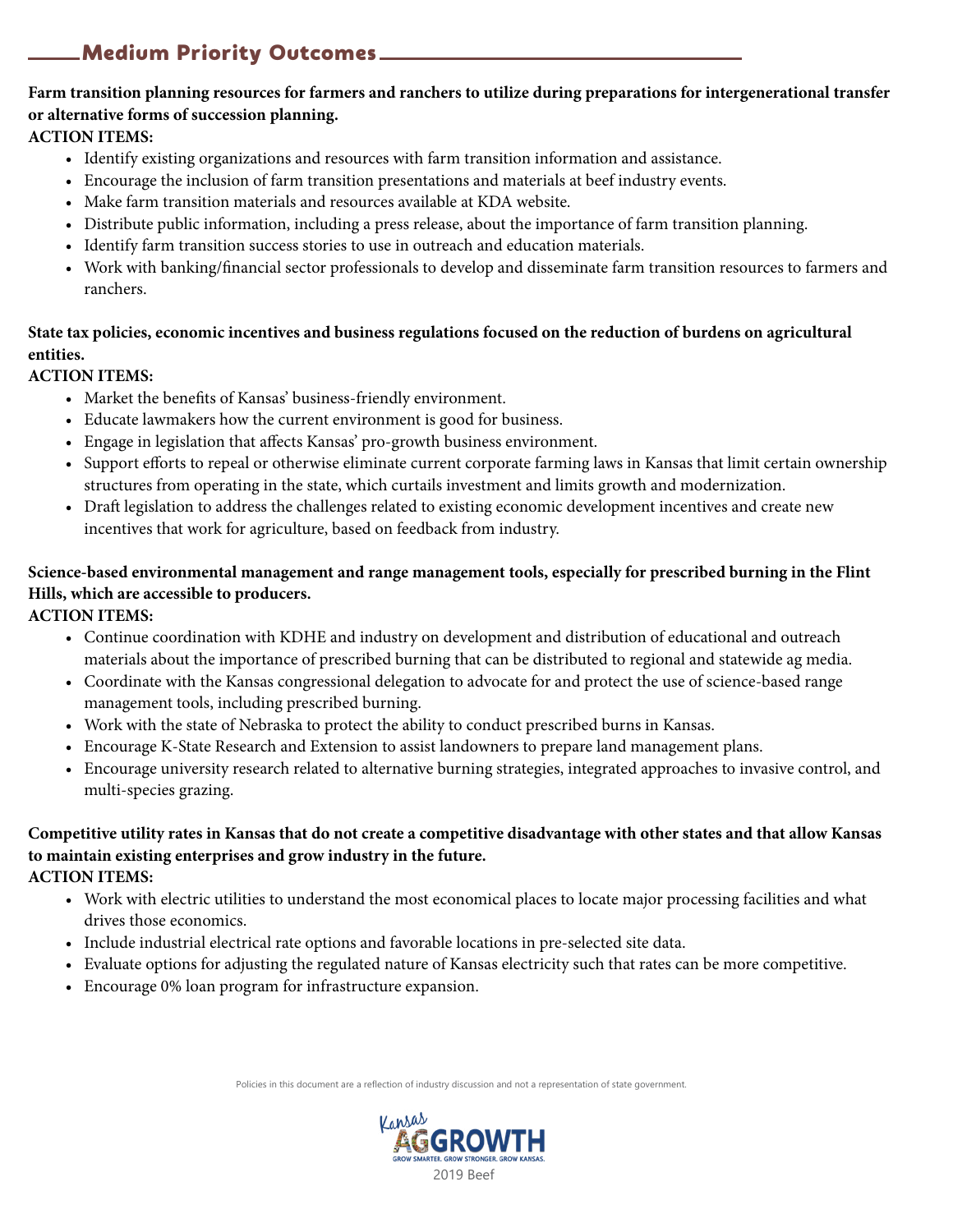### Medium Priority Outcomes

#### **Farm transition planning resources for farmers and ranchers to utilize during preparations for intergenerational transfer or alternative forms of succession planning.**

#### **ACTION ITEMS:**

- Identify existing organizations and resources with farm transition information and assistance.
- Encourage the inclusion of farm transition presentations and materials at beef industry events.
- Make farm transition materials and resources available at KDA website.
- Distribute public information, including a press release, about the importance of farm transition planning.
- Identify farm transition success stories to use in outreach and education materials.
- Work with banking/financial sector professionals to develop and disseminate farm transition resources to farmers and ranchers.

#### **State tax policies, economic incentives and business regulations focused on the reduction of burdens on agricultural entities.**

#### **ACTION ITEMS:**

- Market the benefits of Kansas' business-friendly environment.
- Educate lawmakers how the current environment is good for business.
- Engage in legislation that affects Kansas' pro-growth business environment.
- Support efforts to repeal or otherwise eliminate current corporate farming laws in Kansas that limit certain ownership structures from operating in the state, which curtails investment and limits growth and modernization.
- Draft legislation to address the challenges related to existing economic development incentives and create new incentives that work for agriculture, based on feedback from industry.

#### **Science-based environmental management and range management tools, especially for prescribed burning in the Flint Hills, which are accessible to producers.**

**ACTION ITEMS:**

- Continue coordination with KDHE and industry on development and distribution of educational and outreach materials about the importance of prescribed burning that can be distributed to regional and statewide ag media.
- Coordinate with the Kansas congressional delegation to advocate for and protect the use of science-based range management tools, including prescribed burning.
- Work with the state of Nebraska to protect the ability to conduct prescribed burns in Kansas.
- Encourage K-State Research and Extension to assist landowners to prepare land management plans.
- Encourage university research related to alternative burning strategies, integrated approaches to invasive control, and multi-species grazing.

#### **Competitive utility rates in Kansas that do not create a competitive disadvantage with other states and that allow Kansas to maintain existing enterprises and grow industry in the future.**

#### **ACTION ITEMS:**

- Work with electric utilities to understand the most economical places to locate major processing facilities and what drives those economics.
- Include industrial electrical rate options and favorable locations in pre-selected site data.
- Evaluate options for adjusting the regulated nature of Kansas electricity such that rates can be more competitive.
- Encourage 0% loan program for infrastructure expansion.

Policies in this document are a reflection of industry discussion and not a representation of state government